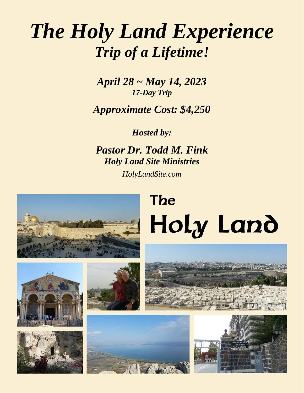# *The Holy Land Experience Trip of a Lifetime!*

*April 28 ~ May 14, 2023 17-Day Trip*

*Approximate Cost: \$4,250*

*Hosted by:*

*Pastor Dr. Todd M. Fink Holy Land Site Ministries HolyLandSite.com*



# **The** Holy Land











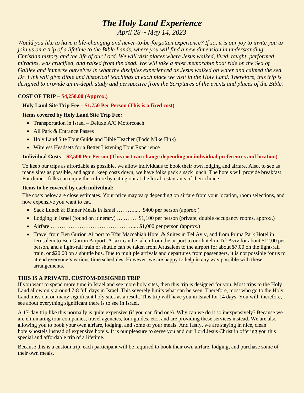# *The Holy Land Experience*

*April 28 ~ May 14, 2023*

*Would you like to have a life-changing and never-to-be-forgotten experience? If so, it is our joy to invite you to join us on a trip of a lifetime to the Bible Lands, where you will find a new dimension in understanding Christian history and the life of our Lord. We will visit places where Jesus walked, lived, taught, performed miracles, was crucified, and raised from the dead. We will take a most memorable boat ride on the Sea of Galilee and immerse ourselves in what the disciples experienced as Jesus walked on water and calmed the sea. Dr. Fink will give Bible and historical teachings at each place we visit in the Holy Land. Therefore, this trip is designed to provide an in-depth study and perspective from the Scriptures of the events and places of the Bible.* 

#### **COST OF TRIP – \$4,250.00 (Approx.)**

#### **Holy Land Site Trip Fee – \$1,750 Per Person (This is a fixed cost)**

#### **Items covered by Holy Land Site Trip Fee:**

- Transportation in Israel Deluxe A/C Motorcoach
- All Park & Entrance Passes
- Holy Land Site Tour Guide and Bible Teacher (Todd Mike Fink)
- Wireless Headsets for a Better Listening Tour Experience

#### **Individual Costs – \$2,500 Per Person (This cost can change depending on individual preferences and location)**

To keep our trips as affordable as possible, we allow individuals to book their own lodging and airfare. Also, to see as many sites as possible, and again, keep costs down, we have folks pack a sack lunch. The hotels will provide breakfast. For dinner, folks can enjoy the culture by eating out at the local restaurants of their choice.

#### **Items to be covered by each individual:**

The costs below are close estimates. Your price may vary depending on airfare from your location, room selections, and how expensive you want to eat.

- Sack Lunch & Dinner Meals in Israel …………... \$400 per person (approx.)
- Lodging in Israel (found on itinerary) …........ \$1,100 per person (private, double occupancy rooms, approx.)
- Airfare ……………………………………….... \$1,000 per person (approx.)
- Travel from Ben Gurion Airport to Kfar Maccabiah Hotel & Suites in Tel Aviv, and from Prima Park Hotel in Jerusalem to Ben Gurion Airport. A taxi can be taken from the airport to our hotel in Tel Aviv for about \$12.00 per person, and a light-rail train or shuttle can be taken from Jerusalem to the airport for about \$7.00 on the light-rail train, or \$20.00 on a shuttle bus. Due to multiple arrivals and departures from passengers, it is not possible for us to attend everyone's various time schedules. However, we are happy to help in any way possible with these arrangements.

#### **THIS IS A PRIVATE, CUSTOM-DESIGNED TRIP**

If you want to spend more time in Israel and see more holy sites, then this trip is designed for you. Most trips to the Holy Land allow only around 7-8 full days in Israel. This severely limits what can be seen. Therefore, most who go to the Holy Land miss out on many significant holy sites as a result. This trip will have you in Israel for 14 days. You will, therefore, see about everything significant there is to see in Israel.

A 17-day trip like this normally is quite expensive (if you can find one). Why can we do it so inexpensively? Because we are eliminating tour companies, travel agencies, tour guides, etc., and are providing these services instead. We are also allowing you to book your own airfare, lodging, and some of your meals. And lastly, we are staying in nice, clean hotels/hostels instead of expensive hotels. It is our pleasure to serve you and our Lord Jesus Christ in offering you this special and affordable trip of a lifetime.

Because this is a custom trip, each participant will be required to book their own airfare, lodging, and purchase some of their own meals.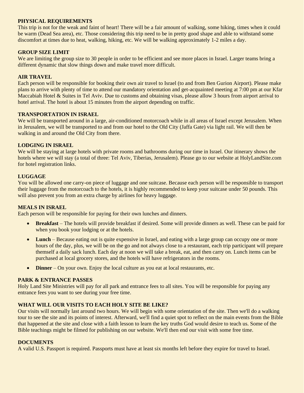#### **PHYSICAL REQUIREMENTS**

This trip is not for the weak and faint of heart! There will be a fair amount of walking, some hiking, times when it could be warm (Dead Sea area), etc. Those considering this trip need to be in pretty good shape and able to withstand some discomfort at times due to heat, walking, hiking, etc. We will be walking approximately 1-2 miles a day.

#### **GROUP SIZE LIMIT**

We are limiting the group size to 30 people in order to be efficient and see more places in Israel. Larger teams bring a different dynamic that slow things down and make travel more difficult.

#### **AIR TRAVEL**

Each person will be responsible for booking their own air travel to Israel (to and from Ben Gurion Airport). Please make plans to arrive with plenty of time to attend our mandatory orientation and get-acquainted meeting at 7:00 pm at our Kfar Maccabiah Hotel & Suites in Tel Aviv. Due to customs and obtaining visas, please allow 3 hours from airport arrival to hotel arrival. The hotel is about 15 minutes from the airport depending on traffic.

#### **TRANSPORTATION IN ISRAEL**

We will be transported around in a large, air-conditioned motorcoach while in all areas of Israel except Jerusalem. When in Jerusalem, we will be transported to and from our hotel to the Old City (Jaffa Gate) via light rail. We will then be walking in and around the Old City from there.

#### **LODGING IN ISRAEL**

We will be staying at large hotels with private rooms and bathrooms during our time in Israel. Our itinerary shows the hotels where we will stay (a total of three: Tel Aviv, Tiberias, Jerusalem). Please go to our website at HolyLandSite.com for hotel registration links.

#### **LUGGAGE**

You will be allowed one carry-on piece of luggage and one suitcase. Because each person will be responsible to transport their luggage from the motorcoach to the hotels, it is highly recommended to keep your suitcase under 50 pounds. This will also prevent you from an extra charge by airlines for heavy luggage.

#### **MEALS IN ISRAEL**

Each person will be responsible for paying for their own lunches and dinners.

- **Breakfast** The hotels will provide breakfast if desired. Some will provide dinners as well. These can be paid for when you book your lodging or at the hotels.
- **Lunch** Because eating out is quite expensive in Israel, and eating with a large group can occupy one or more hours of the day, plus, we will be on the go and not always close to a restaurant, each trip participant will prepare themself a daily sack lunch. Each day at noon we will take a break, eat, and then carry on. Lunch items can be purchased at local grocery stores, and the hotels will have refrigerators in the rooms.
- **Dinner** On your own. Enjoy the local culture as you eat at local restaurants, etc.

#### **PARK & ENTRANCE PASSES**

Holy Land Site Ministries will pay for all park and entrance fees to all sites. You will be responsible for paying any entrance fees you want to see during your free time.

#### **WHAT WILL OUR VISITS TO EACH HOLY SITE BE LIKE?**

Our visits will normally last around two hours. We will begin with some orientation of the site. Then we'll do a walking tour to see the site and its points of interest. Afterward, we'll find a quiet spot to reflect on the main events from the Bible that happened at the site and close with a faith lesson to learn the key truths God would desire to teach us. Some of the Bible teachings might be filmed for publishing on our website. We'll then end our visit with some free time.

#### **DOCUMENTS**

A valid U.S. Passport is required. Passports must have at least six months left before they expire for travel to Israel.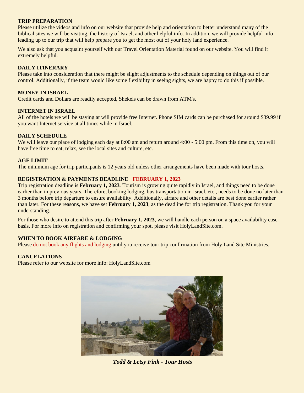#### **TRIP PREPARATION**

Please utilize the videos and info on our website that provide help and orientation to better understand many of the biblical sites we will be visiting, the history of Israel, and other helpful info. In addition, we will provide helpful info leading up to our trip that will help prepare you to get the most out of your holy land experience.

We also ask that you acquaint yourself with our Travel Orientation Material found on our website. You will find it extremely helpful.

#### **DAILY ITINERARY**

Please take into consideration that there might be slight adjustments to the schedule depending on things out of our control. Additionally, if the team would like some flexibility in seeing sights, we are happy to do this if possible.

#### **MONEY IN ISRAEL**

Credit cards and Dollars are readily accepted, Shekels can be drawn from ATM's.

#### **INTERNET IN ISRAEL**

All of the hotels we will be staying at will provide free Internet. Phone SIM cards can be purchased for around \$39.99 if you want Internet service at all times while in Israel.

#### **DAILY SCHEDULE**

We will leave our place of lodging each day at 8:00 am and return around 4:00 - 5:00 pm. From this time on, you will have free time to eat, relax, see the local sites and culture, etc.

#### **AGE LIMIT**

The minimum age for trip participants is 12 years old unless other arrangements have been made with tour hosts.

#### **REGISTRATION & PAYMENTS DEADLINE FEBRUARY 1, 2023**

Trip registration deadline is **February 1, 2023**. Tourism is growing quite rapidly in Israel, and things need to be done earlier than in previous years. Therefore, booking lodging, bus transportation in Israel, etc., needs to be done no later than 3 months before trip departure to ensure availability. Additionally, airfare and other details are best done earlier rather than later. For these reasons, we have set **February 1, 2023**, as the deadline for trip registration. Thank you for your understanding.

For those who desire to attend this trip after **February 1, 2023**, we will handle each person on a space availability case basis. For more info on registration and confirming your spot, please visit HolyLandSite.com.

#### **WHEN TO BOOK AIRFARE & LODGING**

Please do not book any flights and lodging until you receive tour trip confirmation from Holy Land Site Ministries.

#### **CANCELATIONS**

Please refer to our website for more info: HolyLandSite.com



*Todd & Letsy Fink - Tour Hosts*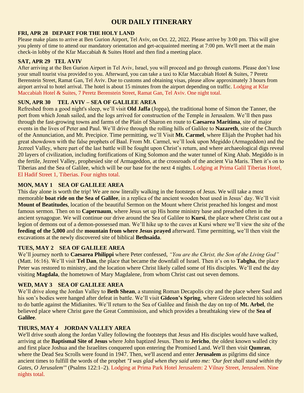# **OUR DAILY ITINERARY**

# **FRI, APR 28 DEPART FOR THE HOLY LAND**

Please make plans to arrive at Ben Gurion Airport, Tel Aviv, on Oct. 22, 2022. Please arrive by 3:00 pm. This will give you plenty of time to attend our mandatory orientation and get-acquainted meeting at 7:00 pm. We'll meet at the main check-in lobby of the Kfar Maccabiah & Suites Hotel and then find a meeting place.

# **SAT, APR 29 TEL AVIV**

After arriving at the Ben Gurion Airport in Tel Aviv, Israel, you will proceed and go through customs. Please don't lose your small tourist visa provided to you. Afterward, you can take a taxi to Kfar Maccabiah Hotel & Suites, 7 Peretz Berenstein Street, Ramat Gan, Tel Aviv. Due to customs and obtaining visas, please allow approximately 3 hours from airport arrival to hotel arrival. The hotel is about 15 minutes from the airport depending on traffic. Lodging at Kfar Maccabiah Hotel & Suites, 7 Peretz Berenstein Street, Ramat Gan, Tel Aviv. One night total.

# **SUN, APR 30 TEL AVIV – SEA OF GALILEE AREA**

Refreshed from a good night's sleep, we'll visit **Old Jaffa** (Joppa), the traditional home of Simon the Tanner, the port from which Jonah sailed, and the logs arrived for construction of the Temple in Jerusalem. We'll then pass through the fast-growing towns and farms of the Plain of Sharon en route to **Caesarea Maritima**, site of major events in the lives of Peter and Paul. We'll drive through the rolling hills of Galilee to **Nazareth**, site of the Church of the Annunciation, and Mt. Precipice. Time permitting, we'll Visit **Mt. Carmel**, where Elijah the Prophet had his great showdown with the false prophets of Baal. From Mt. Carmel, we'll look upon Megiddo (Armageddon) and the Jezreel Valley, where part of the last battle will be fought upon Christ's return, and where archaeological digs reveal 20 layers of civilization, including fortifications of King Solomon and the water tunnel of King Ahab. Megiddo is in the fertile, Jezreel Valley, prophesied site of Armageddon, at the crossroads of the ancient Via Maris. Then it's on to Tiberias and the Sea of Galilee, which will be our base for the next 4 nights. Lodging at Prima Galil Tiberias Hotel, El Hadif Street 1, Tiberias. Four nights total.

# **MON, MAY 1 SEA OF GALILEE AREA**

This day alone is worth the trip! We are now literally walking in the footsteps of Jesus. We will take a most memorable **boat ride on the Sea of Galilee**, in a replica of the ancient wooden boat used in Jesus' day. We'll visit **Mount of Beatitudes**, location of the beautiful Sermon on the Mount where Christ preached his longest and most famous sermon. Then on to **Capernaum**, where Jesus set up His home ministry base and preached often in the ancient synagogue. We will continue our drive around the Sea of Galilee to **Kursi**, the place where Christ cast out a legion of demons out of a demon-possessed man. We'll hike up to the caves at Kursi where we'll view the site of the **feeding of the 5,000** and the **mountain from where Jesus prayed** afterward. Time permitting, we'll then visit the excavations at the newly discovered site of biblical **Bethsaida**.

# **TUES, MAY 2 SEA OF GALILEE AREA**

We'll journey north to **Caesarea Philippi** where Peter confessed, *"You are the Christ, the Son of the Living God"* (Matt. 16:16). We'll visit **Tel Dan**, the place that became the downfall of Israel. Then it's on to **Tabgha**, the place Peter was restored to ministry, and the location where Christ likely called some of His disciples. We'll end the day visiting **Magdala**, the hometown of Mary Magdalene, from whom Christ cast out seven demons.

# **WED, MAY 3 SEA OF GALILEE AREA**

We'll drive along the Jordan Valley to **Beth Shean**, a stunning Roman Decapolis city and the place where Saul and his son's bodies were hanged after defeat in battle. We'll visit **Gideon's Spring**, where Gideon selected his soldiers to do battle against the Midianites. We'll return to the Sea of Galilee and finish the day on top of **Mt. Arbel**, the believed place where Christ gave the Great Commission, and which provides a breathtaking view of the **Sea of Galilee**.

# **THURS, MAY 4 JORDAN VALLEY AREA**

We'll drive south along the Jordan Valley following the footsteps that Jesus and His disciples would have walked, arriving at the **Baptismal Site of Jesus** where John baptized Jesus. Then to **Jericho**, the oldest known walled city and first place Joshua and the Israelites conquered upon entering the Promised Land. We'll then visit **Qumran**, where the Dead Sea Scrolls were found in 1947. Then, we'll ascend and enter **Jerusalem** as pilgrims did since ancient times to fulfill the words of the prophet *"I was glad when they said unto me: 'Our feet shall stand within thy Gates, O Jerusalem'"* (Psalms 122:1–2). Lodging at Prima Park Hotel Jerusalem: 2 Vilnay Street, Jerusalem. Nine nights total.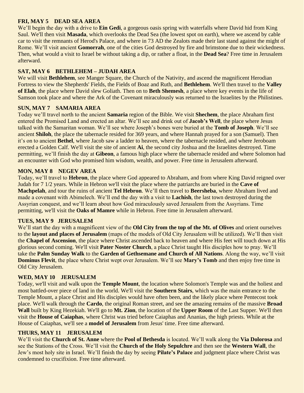### **FRI, MAY 5 DEAD SEA AREA**

We'll begin the day with a drive to **Ein Gedi**, a gorgeous oasis spring with waterfalls where David hid from King Saul. We'll then visit **Masada**, which overlooks the Dead Sea (the lowest spot on earth), where we ascend by cable car to visit the remnants of Herod's Palace, and where in 73 AD the Zealots made their last stand against the might of Rome. We'll visit ancient **Gomorrah**, one of the cities God destroyed by fire and brimstone due to their wickedness. Then, what would a visit to Israel be without taking a dip, or rather a float, in the **Dead Sea**? Free time in Jerusalem afterward.

# **SAT, MAY 6 BETHLEHEM – JUDAH AREA**

We will visit **Bethlehem**, see Manger Square, the Church of the Nativity, and ascend the magnificent Herodian Fortress to view the Shepherds' Fields, the Fields of Boaz and Ruth, and **Bethlehem**. We'll then travel to the **Valley of Elah**, the place where David slew Goliath. Then on to **Beth Shemesh**, a place where key events in the life of Samson took place and where the Ark of the Covenant miraculously was returned to the Israelites by the Philistines.

# **SUN, MAY 7 SAMARIA AREA**

Today we'll travel north to the ancient **Samaria** region of the Bible. We visit **Shechem**, the place Abraham first entered the Promised Land and erected an altar. We'll see and drink out of **Jacob's Well**, the place where Jesus talked with the Samaritan woman. We'll see where Joseph's bones were buried at the **Tomb of Joseph**. We'll see ancient **Shiloh**, the place the tabernacle resided for 369 years, and where Hannah prayed for a son (Samuel). Then it's on to ancient **Bethel**, where Jacob saw a ladder to heaven, where the tabernacle resided, and where Jeroboam erected a Golden Calf. We'll visit the site of ancient **Ai**, the second city Joshua and the Israelites destroyed. Time permitting, we'll finish the day at **Gibeon**, a famous high place where the tabernacle resided and where Solomon had an encounter with God who promised him wisdom, wealth, and power. Free time in Jerusalem afterward.

# **MON, MAY 8 NEGEV AREA**

Today, we'll travel to **Hebron**, the place where God appeared to Abraham, and from where King David reigned over Judah for 7 1/2 years. While in Hebron we'll visit the place where the patriarchs are buried in the **Cave of Machpelah**, and tour the ruins of ancient **Tel Hebron**. We'll then travel to **Beersheba**, where Abraham lived and made a covenant with Abimelech. We'll end the day with a visit to **Lachish**, the last town destroyed during the Assyrian conquest, and we'll learn about how God miraculously saved Jerusalem from the Assyrians. Time permitting, we'll visit the **Oaks of Mamre** while in Hebron. Free time in Jerusalem afterward.

# **TUES, MAY 9 JERUSALEM**

We'll start the day with a magnificent view of the **Old City from the top of the Mt. of Olives** and orient ourselves to the **layout and places of Jerusalem** (maps of the models of Old City Jerusalem will be utilized). We'll then visit the **Chapel of Ascension**, the place where Christ ascended back to heaven and where His feet will touch down at His glorious second coming. We'll visit **Pater Noster Church**, a place Christ taught His disciples how to pray. We'll take the **Palm Sunday Walk** to the **Garden of Gethsemane and Church of All Nations**. Along the way, we'll visit **Dominus Flevit**, the place where Christ wept over Jerusalem. We'll see **Mary's Tomb** and then enjoy free time in Old City Jerusalem.

# **WED, MAY 10 JERUSALEM**

Today, we'll visit and walk upon the **Temple Mount**, the location where Solomon's Temple was and the holiest and most battled-over piece of land in the world. We'll visit the **Southern Stairs**, which was the main entrance to the Temple Mount, a place Christ and His disciples would have often been, and the likely place where Pentecost took place. We'll walk through the **Cardo**, the original Roman street, and see the amazing remains of the massive **Broad Wall** built by King Hezekiah. We'll go to **Mt. Zion**, the location of the **Upper Room** of the Last Supper. We'll then visit the **House of Caiaphas**, where Christ was tried before Caiaphas and Ananias, the high priests. While at the House of Caiaphas, we'll see a **model of Jerusalem** from Jesus' time. Free time afterward.

#### **THURS, MAY 11 JERUSALEM**

We'll visit the **Church of St. Anne** where the **Pool of Bethesda** is located. We'll walk along the **Via Dolorosa** and see the Stations of the Cross. We'll visit the **Church of the Holy Sepulchre** and then see the **Western Wall**, the Jew's most holy site in Israel. We'll finish the day by seeing **Pilate's Palace** and judgment place where Christ was condemned to crucifixion. Free time afterward.